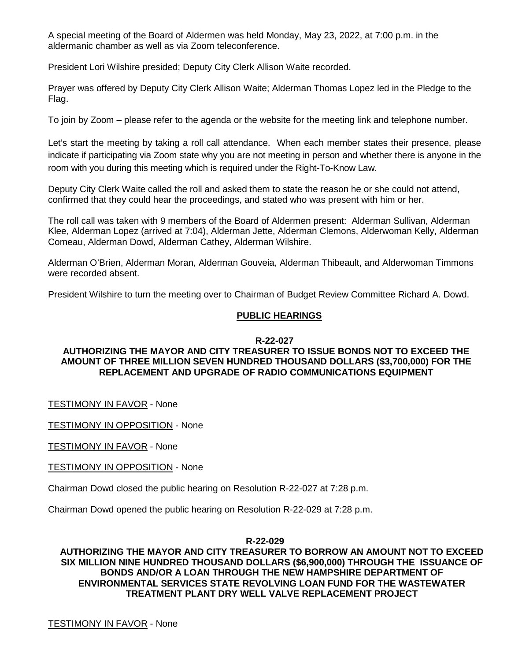A special meeting of the Board of Aldermen was held Monday, May 23, 2022, at 7:00 p.m. in the aldermanic chamber as well as via Zoom teleconference.

President Lori Wilshire presided; Deputy City Clerk Allison Waite recorded.

Prayer was offered by Deputy City Clerk Allison Waite; Alderman Thomas Lopez led in the Pledge to the Flag.

To join by Zoom – please refer to the agenda or the website for the meeting link and telephone number.

Let's start the meeting by taking a roll call attendance. When each member states their presence, please indicate if participating via Zoom state why you are not meeting in person and whether there is anyone in the room with you during this meeting which is required under the Right-To-Know Law.

Deputy City Clerk Waite called the roll and asked them to state the reason he or she could not attend, confirmed that they could hear the proceedings, and stated who was present with him or her.

The roll call was taken with 9 members of the Board of Aldermen present: Alderman Sullivan, Alderman Klee, Alderman Lopez (arrived at 7:04), Alderman Jette, Alderman Clemons, Alderwoman Kelly, Alderman Comeau, Alderman Dowd, Alderman Cathey, Alderman Wilshire.

Alderman O'Brien, Alderman Moran, Alderman Gouveia, Alderman Thibeault, and Alderwoman Timmons were recorded absent.

President Wilshire to turn the meeting over to Chairman of Budget Review Committee Richard A. Dowd.

## **PUBLIC HEARINGS**

#### **R-22-027**

# **AUTHORIZING THE MAYOR AND CITY TREASURER TO ISSUE BONDS NOT TO EXCEED THE AMOUNT OF THREE MILLION SEVEN HUNDRED THOUSAND DOLLARS (\$3,700,000) FOR THE REPLACEMENT AND UPGRADE OF RADIO COMMUNICATIONS EQUIPMENT**

TESTIMONY IN FAVOR - None

TESTIMONY IN OPPOSITION - None

TESTIMONY IN FAVOR - None

TESTIMONY IN OPPOSITION - None

Chairman Dowd closed the public hearing on Resolution R-22-027 at 7:28 p.m.

Chairman Dowd opened the public hearing on Resolution R-22-029 at 7:28 p.m.

## **R-22-029**

**AUTHORIZING THE MAYOR AND CITY TREASURER TO BORROW AN AMOUNT NOT TO EXCEED SIX MILLION NINE HUNDRED THOUSAND DOLLARS (\$6,900,000) THROUGH THE ISSUANCE OF BONDS AND/OR A LOAN THROUGH THE NEW HAMPSHIRE DEPARTMENT OF ENVIRONMENTAL SERVICES STATE REVOLVING LOAN FUND FOR THE WASTEWATER TREATMENT PLANT DRY WELL VALVE REPLACEMENT PROJECT**

**TESTIMONY IN FAVOR - None**